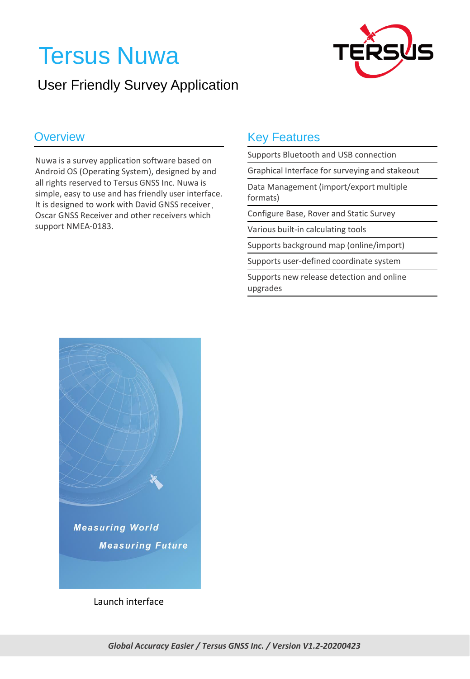# Tersus Nuwa





Nuwa is a survey application software based on Android OS (Operating System), designed by and all rights reserved to Tersus GNSS Inc. Nuwa is simple, easy to use and has friendly user interface. It is designed to work with David GNSS receiver, Oscar GNSS Receiver and other receivers which support NMEA-0183.

#### **Overview Coverview Coverview Rey Features**

Supports Bluetooth and USB connection

Graphical Interface for surveying and stakeout

Data Management (import/export multiple formats)

Configure Base, Rover and Static Survey

Various built-in calculating tools

Supports background map (online/import)

Supports user-defined coordinate system

Supports new release detection and online upgrades



Launch interface